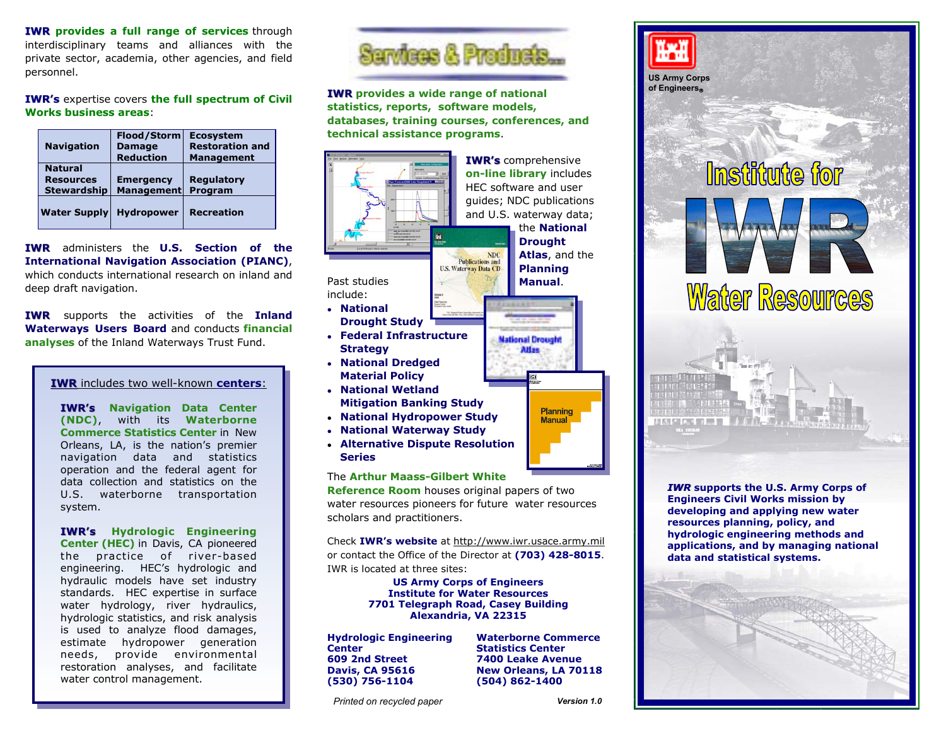**IWR provides a full range of services** through interdisciplinary teams and alliances with the private sector, academia, other agencies, and field personnel.

**IWR's** expertise covers **the full spectrum of Civil Works business areas**:

| <b>Navigation</b>                                        | <b>Flood/Storm</b><br><b>Damage</b><br><b>Reduction</b> | <b>Ecosystem</b><br><b>Restoration and</b><br><b>Management</b> |
|----------------------------------------------------------|---------------------------------------------------------|-----------------------------------------------------------------|
| <b>Natural</b><br><b>Resources</b><br><b>Stewardship</b> | <b>Emergency</b><br><b>Management</b>                   | <b>Regulatory</b><br>Program                                    |
| <b>Water Supply</b>                                      | <b>Hydropower</b>                                       | <b>Recreation</b>                                               |

**IWR** administers the **U.S. Section of the International Navigation Association (PIANC)**, which conducts international research on inland and deep draft navigation.

**IWR** supports the activities of the **Inland Waterways Users Board** and conducts **financial analyses** of the Inland Waterways Trust Fund.

## **IWR** includes two well-known **centers**:

**IWR's Navigation Data Center (NDC)**, with its **Waterborne Commerce Statistics Center** in New Orleans, LA, is the nation's premier navigation data and statistics operation and the federal agent for data collection and statistics on the U.S. waterborne transportation system.

**IWR's Hydrologic Engineering Center (HEC)** in Davis, CA pioneered the practice of river-based engineering. HEC's hydrologic and hydraulic models have set industry standards. HEC expertise in surface water hydrology, river hydraulics, hydrologic statistics, and risk analysis is used to analyze flood damages, estimate hydropower generation needs, provide environmental restoration analyses, and facilitate water control management.



**IWR** provides a wide range of national **statistics, reports, software models, databases, training courses, conferences, and technical assistance programs**.



The **Arthur Maass-Gilbert White** 

**Reference Room** houses original papers of two water resources pioneers for future water resources scholars and practitioners.

Check **IWR's website** at http://www.iwr.usace.army.mil or contact the Office of the Director at **(703) 428-8015**. IWR is located at three sites:

> **US Army Corps of Engineers Institute for Water Resources 7701 Telegraph Road, Casey Building Alexandria, VA 22315**

**Hydrologic Engineering Center 609 2nd Street Davis, CA 95616 (530) 756-1104**

**Waterborne Commerce Statistics Center 7400 Leake Avenue New Orleans, LA 70118 (504) 862-1400**

*Version 1.0* 

*Printed on recycled paper* 



**US Army Corps of Engineers**